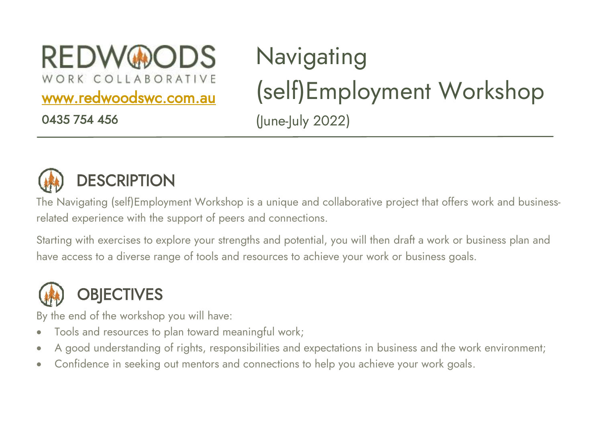**REDW®ODS** 

WORK COLLABORATIVE

[www.redwoodswc.com.au](http://www.redwoodswc.com.au/) 

0435 754 456

## **Navigating** (self)Employment Workshop (June-July 2022)



## **DESCRIPTION**

The Navigating (self)Employment Workshop is a unique and collaborative project that offers work and businessrelated experience with the support of peers and connections.

Starting with exercises to explore your strengths and potential, you will then draft a work or business plan and have access to a diverse range of tools and resources to achieve your work or business goals.



By the end of the workshop you will have:

- Tools and resources to plan toward meaningful work;
- A good understanding of rights, responsibilities and expectations in business and the work environment;
- Confidence in seeking out mentors and connections to help you achieve your work goals.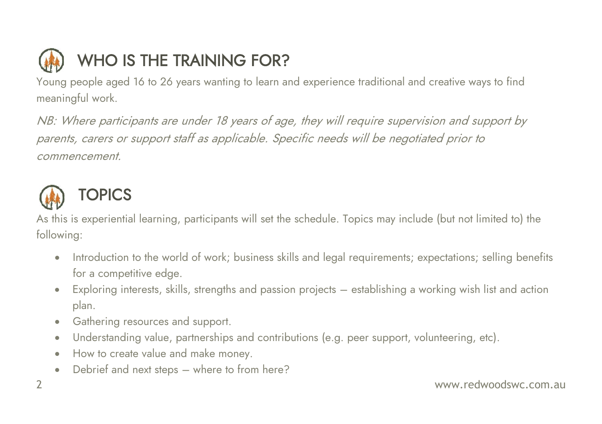

Young people aged 16 to 26 years wanting to learn and experience traditional and creative ways to find meaningful work.

NB: Where participants are under 18 years of age, they will require supervision and support by parents, carers or support staff as applicable. Specific needs will be negotiated prior to commencement.



As this is experiential learning, participants will set the schedule. Topics may include (but not limited to) the following:

- Introduction to the world of work; business skills and legal requirements; expectations; selling benefits for a competitive edge.
- Exploring interests, skills, strengths and passion projects establishing a working wish list and action plan.
- Gathering resources and support.
- Understanding value, partnerships and contributions (e.g. peer support, volunteering, etc).
- How to create value and make money.
- Debrief and next steps where to from here?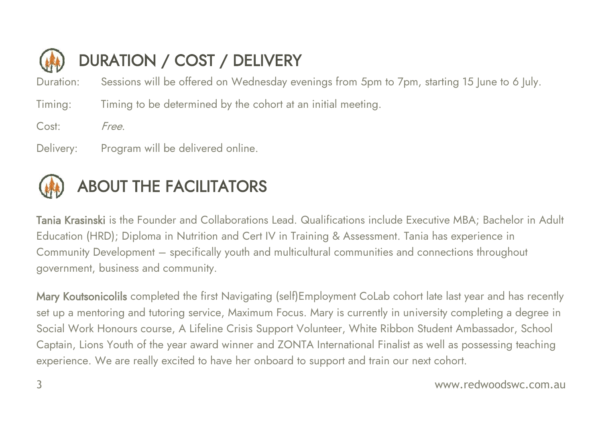

Duration: Sessions will be offered on Wednesday evenings from 5pm to 7pm, starting 15 June to 6 July.

Timing: Timing to be determined by the cohort at an initial meeting.

Cost: Free.

Delivery: Program will be delivered online.



## ABOUT THE FACILITATORS

Tania Krasinski is the Founder and Collaborations Lead. Qualifications include Executive MBA; Bachelor in Adult Education (HRD); Diploma in Nutrition and Cert IV in Training & Assessment. Tania has experience in Community Development – specifically youth and multicultural communities and connections throughout government, business and community.

Mary Koutsonicolils completed the first Navigating (self) Employment CoLab cohort late last year and has recently set up a mentoring and tutoring service, Maximum Focus. Mary is currently in university completing a degree in Social Work Honours course, A Lifeline Crisis Support Volunteer, White Ribbon Student Ambassador, School Captain, Lions Youth of the year award winner and ZONTA International Finalist as well as possessing teaching experience. We are really excited to have her onboard to support and train our next cohort.